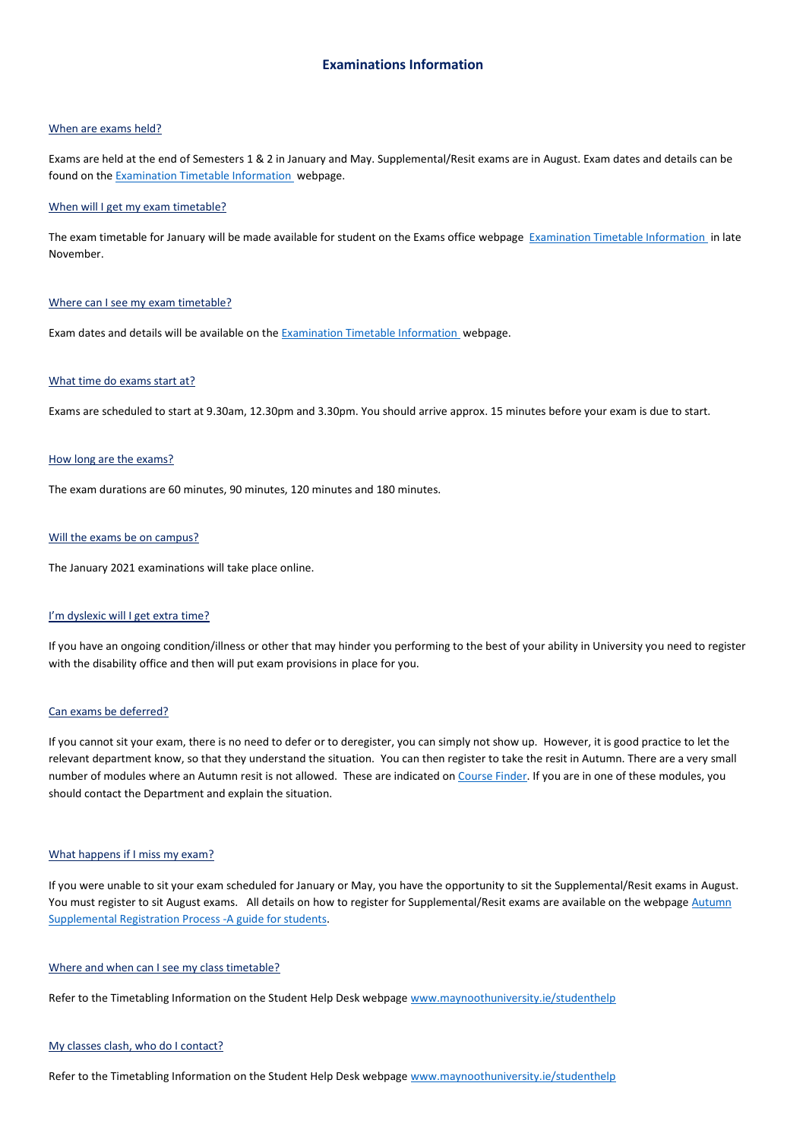# When are exams held?

Exams are held at the end of Semesters 1 & 2 in January and May. Supplemental/Resit exams are in August. Exam dates and details can be found on th[e Examination Timetable Information](https://www.maynoothuniversity.ie/exams/examination-timetable-information) webpage.

#### When will I get my exam timetable?

The exam timetable for January will be made available for student on the Exams office webpage [Examination Timetable Information](https://www.maynoothuniversity.ie/exams/examination-timetable-information) in late November.

# Where can I see my exam timetable?

Exam dates and details will be available on the **Examination Timetable Information** webpage.

# What time do exams start at?

Exams are scheduled to start at 9.30am, 12.30pm and 3.30pm. You should arrive approx. 15 minutes before your exam is due to start.

#### How long are the exams?

The exam durations are 60 minutes, 90 minutes, 120 minutes and 180 minutes.

#### Will the exams be on campus?

The January 2021 examinations will take place online.

# I'm dyslexic will I get extra time?

If you have an ongoing condition/illness or other that may hinder you performing to the best of your ability in University you need to register with the disability office and then will put exam provisions in place for you.

#### Can exams be deferred?

If you cannot sit your exam, there is no need to defer or to deregister, you can simply not show up. However, it is good practice to let the relevant department know, so that they understand the situation. You can then register to take the resit in Autumn. There are a very small number of modules where an Autumn resit is not allowed. These are indicated on [Course Finder.](http://apps.maynoothuniversity.ie/courses/?TARGET=CS&MODE=SEARCH) If you are in one of these modules, you should contact the Department and explain the situation.

#### What happens if I miss my exam?

If you were unable to sit your exam scheduled for January or May, you have the opportunity to sit the Supplemental/Resit exams in August. You must register to sit August exams. All details on how to register for Supplemental/Resit exams are available on the webpage Autumn [Supplemental Registration Process -A guide for students.](https://www.maynoothuniversity.ie/exams/resitting-and-repeat-information/august-supplemental-registration-process-guide-students)

### Where and when can I see my class timetable?

Refer to the Timetabling Information on the Student Help Desk webpag[e www.maynoothuniversity.ie/studenthelp](http://www.maynoothuniversity.ie/studenthelp)

#### My classes clash, who do I contact?

Refer to the Timetabling Information on the Student Help Desk webpag[e www.maynoothuniversity.ie/studenthelp](http://www.maynoothuniversity.ie/studenthelp)